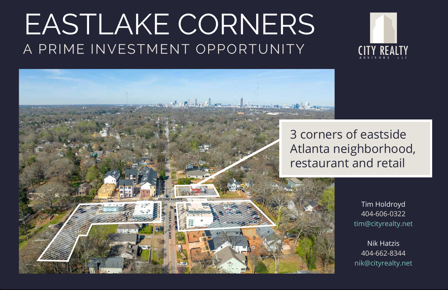# EASTLAKE CORNERS A PRIME INVESTMENT OPPORTUNITY

Tim Holdroyd 404-606-0322 tim@cityrealty.net

Nik Hatzis 404-662-8344 nik@cityrealty.net





## 3 corners of eastside Atlanta neighborhood, restaurant and retail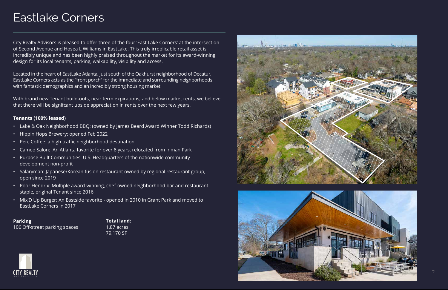City Realty Advisors is pleased to offer three of the four 'East Lake Corners' at the intersection of Second Avenue and Hosea L Williams in EastLake. This truly irreplicable retail asset is incredibly unique and has been highly praised throughout the market for its award-winning design for its local tenants, parking, walkability, visibility and access.

Located in the heart of EastLake Atlanta, just south of the Oakhurst neighborhood of Decatur, EastLake Corners acts as the "front porch" for the immediate and surrounding neighborhoods with fantastic demographics and an incredibly strong housing market.

With brand new Tenant build-outs, near term expirations, and below market rents, we believe that there will be signifcant upside appreciation in rents over the next few years.

#### **Tenants (100% leased)**

- Lake & Oak Neighborhood BBQ: (owned by James Beard Award Winner Todd Richards)
- Hippin Hops Brewery: opened Feb 2022
- Perc Coffee: a high traffic neighborhood destination
- Cameo Salon: An Atlanta favorite for over 8 years, relocated from Inman Park
- Purpose Built Communities: U.S. Headquarters of the nationwide community development non-profit
- Salaryman: Japanese/Korean fusion restaurant owned by regional restaurant group, open since 2019
- Poor Hendrix: Multiple award-winning, chef-owned neighborhood bar and restaurant staple, original Tenant since 2016
- Mix'D Up Burger: An Eastside favorite opened in 2010 in Grant Park and moved to EastLake Corners in 2017

**Parking** 106 Off-street parking spaces

#### Eastlake Corners

**Total land:** 1.87 acres 79,170 SF





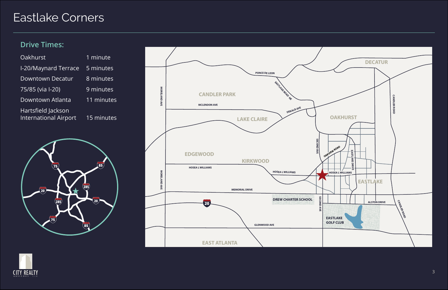### Eastlake Corners





#### **Drive Times:**

| 1 minute   |
|------------|
| 5 minutes  |
| 8 minutes  |
| 9 minutes  |
| 11 minutes |
| 15 minutes |
|            |

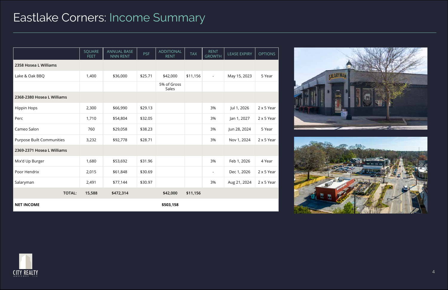#### Eastlake Corners: Income Summary

|                            | SQUARE<br>FEET | <b>ANNUAL BASE</b><br>NNN RENT | <b>PSF</b> | <b>ADDITIONAL</b><br><b>RENT</b> | <b>TAX</b> | <b>RENT</b><br><b>GROWTH</b> | <b>LEASE EXPIRY</b> | <b>OPTIONS</b>    |
|----------------------------|----------------|--------------------------------|------------|----------------------------------|------------|------------------------------|---------------------|-------------------|
| 2358 Hosea L Williams      |                |                                |            |                                  |            |                              |                     |                   |
| Lake & Oak BBQ             | 1,400          | \$36,000                       | \$25.71    | \$42,000                         | \$11,156   | $\blacksquare$               | May 15, 2023        | 5 Year            |
|                            |                |                                |            | 5% of Gross<br>Sales             |            |                              |                     |                   |
| 2368-2380 Hosea L Williams |                |                                |            |                                  |            |                              |                     |                   |
| <b>Hippin Hops</b>         | 2,300          | \$66,990                       | \$29.13    |                                  |            | 3%                           | Jul 1, 2026         | $2 \times 5$ Year |
| Perc                       | 1,710          | \$54,804                       | \$32.05    |                                  |            | 3%                           | Jan 1, 2027         | $2 \times 5$ Year |
| Cameo Salon                | 760            | \$29,058                       | \$38.23    |                                  |            | 3%                           | Jun 28, 2024        | 5 Year            |
| Purpose Built Communities  | 3,232          | \$92,778                       | \$28.71    |                                  |            | 3%                           | Nov 1, 2024         | $2 \times 5$ Year |
| 2369-2371 Hosea L Williams |                |                                |            |                                  |            |                              |                     |                   |
| Mix'd Up Burger            | 1,680          | \$53,692                       | \$31.96    |                                  |            | 3%                           | Feb 1, 2026         | 4 Year            |
| Poor Hendrix               | 2,015          | \$61,848                       | \$30.69    |                                  |            | $\blacksquare$               | Dec 1, 2026         | $2 \times 5$ Year |
| Salaryman                  | 2,491          | \$77,144                       | \$30.97    |                                  |            | 3%                           | Aug 21, 2024        | $2 \times 5$ Year |
| <b>TOTAL:</b>              | 15,588         | \$472,314                      |            | \$42,000                         | \$11,156   |                              |                     |                   |
| <b>NET INCOME</b>          |                |                                |            | \$503,158                        |            |                              |                     |                   |





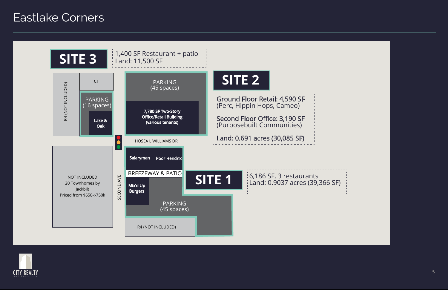#### **Eastlake Corners**